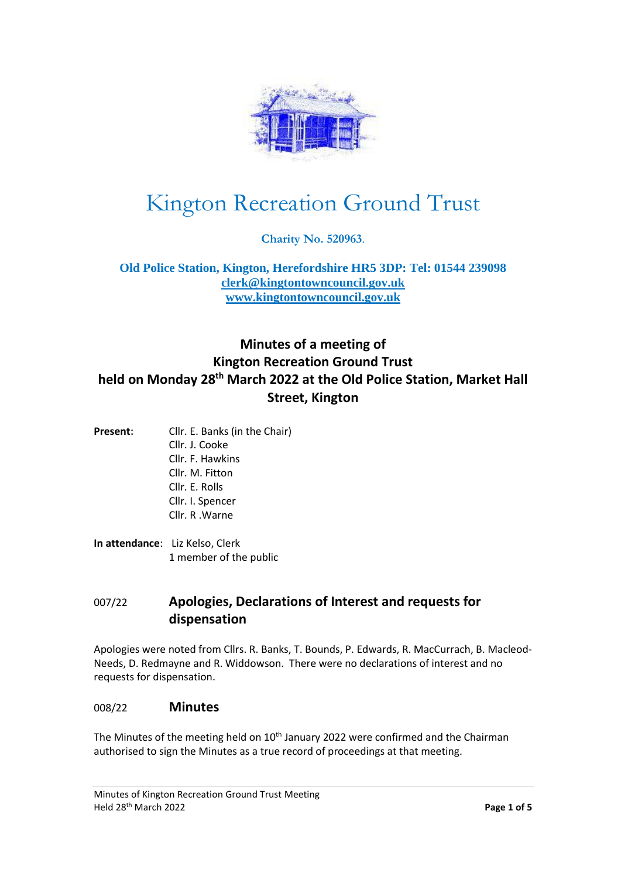

# Kington Recreation Ground Trust

**Charity No. 520963**.

**Old Police Station, Kington, Herefordshire HR5 3DP: Tel: 01544 239098 [clerk@kingtontowncouncil.gov.uk](mailto:clerk@kingtontowncouncil.gov.uk) [www.kingtontowncouncil.gov.uk](http://www.kingtontowncouncil.gov.uk/)**

# **Minutes of a meeting of Kington Recreation Ground Trust held on Monday 28th March 2022 at the Old Police Station, Market Hall Street, Kington**

- **Present:** Cllr. E. Banks (in the Chair) Cllr. J. Cooke Cllr. F. Hawkins Cllr. M. Fitton Cllr. E. Rolls Cllr. I. Spencer Cllr. R .Warne
- **In attendance**: Liz Kelso, Clerk 1 member of the public

# 007/22 **Apologies, Declarations of Interest and requests for dispensation**

Apologies were noted from Cllrs. R. Banks, T. Bounds, P. Edwards, R. MacCurrach, B. Macleod-Needs, D. Redmayne and R. Widdowson. There were no declarations of interest and no requests for dispensation.

#### 008/22 **Minutes**

The Minutes of the meeting held on  $10<sup>th</sup>$  January 2022 were confirmed and the Chairman authorised to sign the Minutes as a true record of proceedings at that meeting.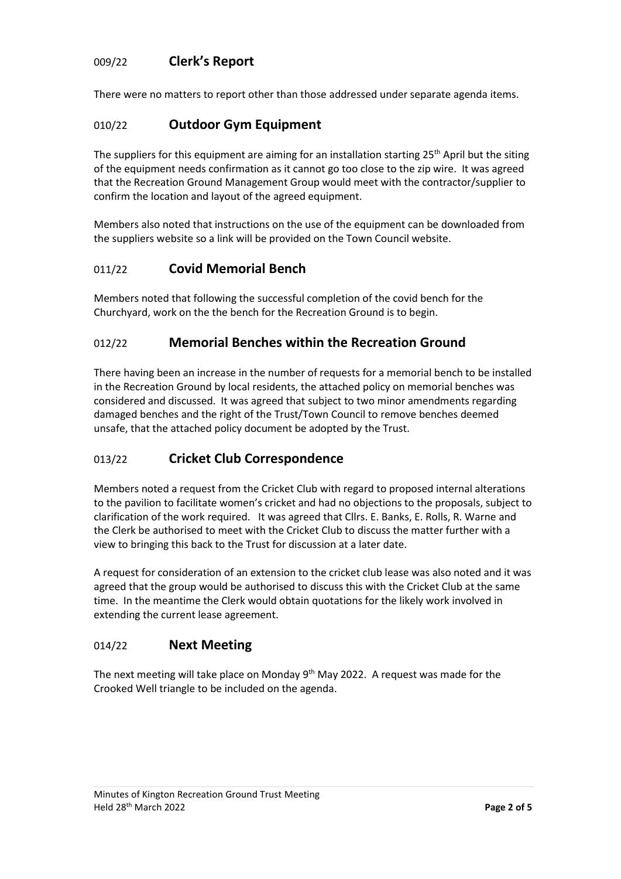#### 009/22 **Clerk's Report**

There were no matters to report other than those addressed under separate agenda items.

#### 010/22 **Outdoor Gym Equipment**

The suppliers for this equipment are aiming for an installation starting 25<sup>th</sup> April but the siting of the equipment needs confirmation as it cannot go too close to the zip wire. It was agreed that the Recreation Ground Management Group would meet with the contractor/supplier to confirm the location and layout of the agreed equipment.

Members also noted that instructions on the use of the equipment can be downloaded from the suppliers website so a link will be provided on the Town Council website.

#### 011/22 **Covid Memorial Bench**

Members noted that following the successful completion of the covid bench for the Churchyard, work on the the bench for the Recreation Ground is to begin.

#### 012/22 **Memorial Benches within the Recreation Ground**

There having been an increase in the number of requests for a memorial bench to be installed in the Recreation Ground by local residents, the attached policy on memorial benches was considered and discussed. It was agreed that subject to two minor amendments regarding damaged benches and the right of the Trust/Town Council to remove benches deemed unsafe, that the attached policy document be adopted by the Trust.

## 013/22 **Cricket Club Correspondence**

Members noted a request from the Cricket Club with regard to proposed internal alterations to the pavilion to facilitate women's cricket and had no objections to the proposals, subject to clarification of the work required. It was agreed that Cllrs. E. Banks, E. Rolls, R. Warne and the Clerk be authorised to meet with the Cricket Club to discuss the matter further with a view to bringing this back to the Trust for discussion at a later date.

A request for consideration of an extension to the cricket club lease was also noted and it was agreed that the group would be authorised to discuss this with the Cricket Club at the same time. In the meantime the Clerk would obtain quotations for the likely work involved in extending the current lease agreement.

#### 014/22 **Next Meeting**

The next meeting will take place on Monday 9<sup>th</sup> May 2022. A request was made for the Crooked Well triangle to be included on the agenda.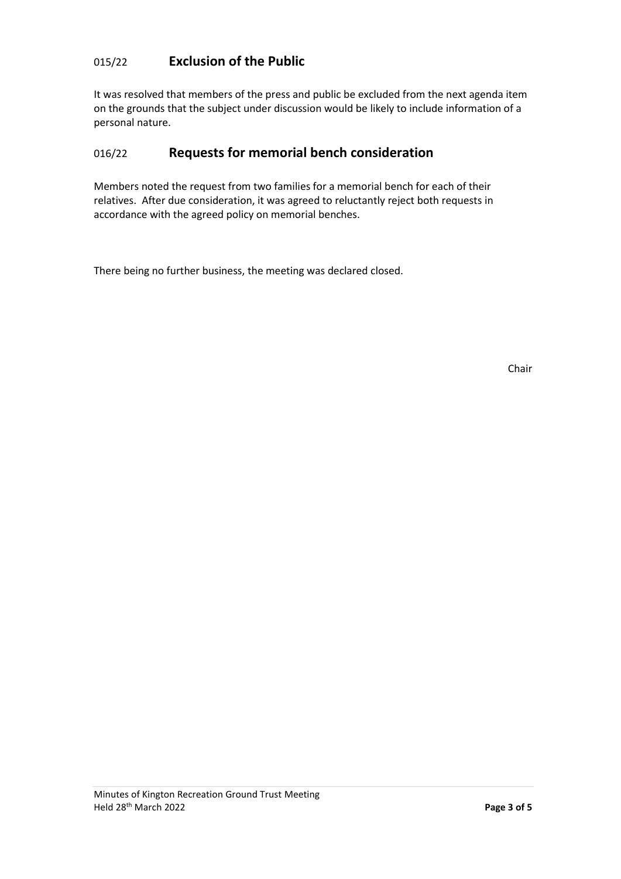# 015/22 **Exclusion of the Public**

It was resolved that members of the press and public be excluded from the next agenda item on the grounds that the subject under discussion would be likely to include information of a personal nature.

## 016/22 **Requests for memorial bench consideration**

Members noted the request from two families for a memorial bench for each of their relatives. After due consideration, it was agreed to reluctantly reject both requests in accordance with the agreed policy on memorial benches.

There being no further business, the meeting was declared closed.

Chair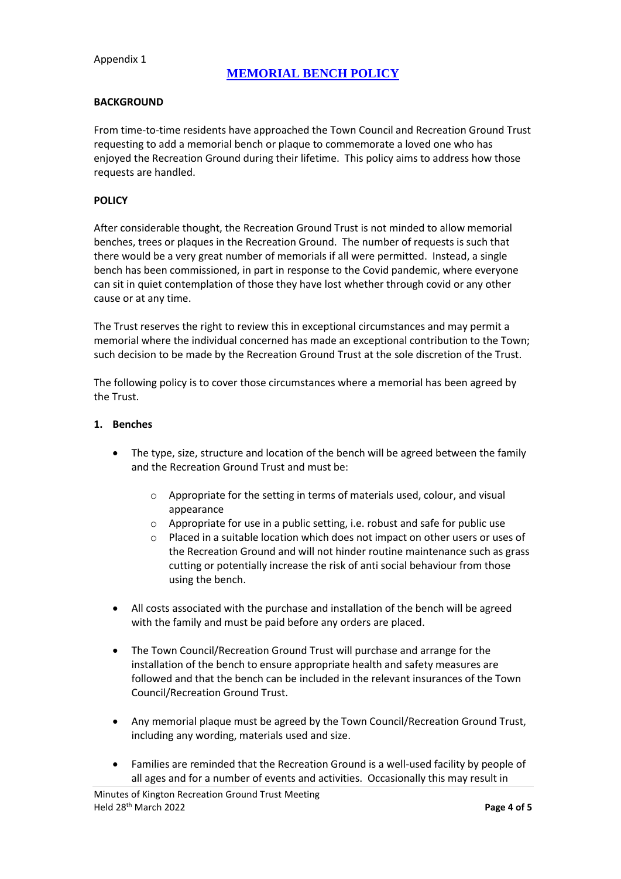## **MEMORIAL BENCH POLICY**

#### **BACKGROUND**

From time-to-time residents have approached the Town Council and Recreation Ground Trust requesting to add a memorial bench or plaque to commemorate a loved one who has enjoyed the Recreation Ground during their lifetime. This policy aims to address how those requests are handled.

#### **POLICY**

After considerable thought, the Recreation Ground Trust is not minded to allow memorial benches, trees or plaques in the Recreation Ground. The number of requests is such that there would be a very great number of memorials if all were permitted. Instead, a single bench has been commissioned, in part in response to the Covid pandemic, where everyone can sit in quiet contemplation of those they have lost whether through covid or any other cause or at any time.

The Trust reserves the right to review this in exceptional circumstances and may permit a memorial where the individual concerned has made an exceptional contribution to the Town; such decision to be made by the Recreation Ground Trust at the sole discretion of the Trust.

The following policy is to cover those circumstances where a memorial has been agreed by the Trust.

#### **1. Benches**

- The type, size, structure and location of the bench will be agreed between the family and the Recreation Ground Trust and must be:
	- o Appropriate for the setting in terms of materials used, colour, and visual appearance
	- o Appropriate for use in a public setting, i.e. robust and safe for public use
	- o Placed in a suitable location which does not impact on other users or uses of the Recreation Ground and will not hinder routine maintenance such as grass cutting or potentially increase the risk of anti social behaviour from those using the bench.
- All costs associated with the purchase and installation of the bench will be agreed with the family and must be paid before any orders are placed.
- The Town Council/Recreation Ground Trust will purchase and arrange for the installation of the bench to ensure appropriate health and safety measures are followed and that the bench can be included in the relevant insurances of the Town Council/Recreation Ground Trust.
- Any memorial plaque must be agreed by the Town Council/Recreation Ground Trust, including any wording, materials used and size.
- Families are reminded that the Recreation Ground is a well-used facility by people of all ages and for a number of events and activities. Occasionally this may result in